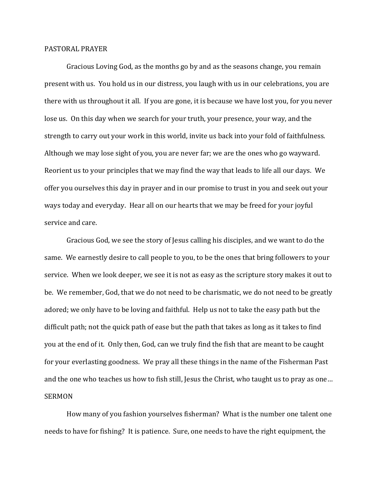## PASTORAL PRAYER

 Gracious Loving God, as the months go by and as the seasons change, you remain present with us. You hold us in our distress, you laugh with us in our celebrations, you are there with us throughout it all. If you are gone, it is because we have lost you, for you never lose us. On this day when we search for your truth, your presence, your way, and the strength to carry out your work in this world, invite us back into your fold of faithfulness. Although we may lose sight of you, you are never far; we are the ones who go wayward. Reorient us to your principles that we may find the way that leads to life all our days. We offer you ourselves this day in prayer and in our promise to trust in you and seek out your ways today and everyday. Hear all on our hearts that we may be freed for your joyful service and care.

 Gracious God, we see the story of Jesus calling his disciples, and we want to do the same. We earnestly desire to call people to you, to be the ones that bring followers to your service. When we look deeper, we see it is not as easy as the scripture story makes it out to be. We remember, God, that we do not need to be charismatic, we do not need to be greatly adored; we only have to be loving and faithful. Help us not to take the easy path but the difficult path; not the quick path of ease but the path that takes as long as it takes to find you at the end of it. Only then, God, can we truly find the fish that are meant to be caught for your everlasting goodness. We pray all these things in the name of the Fisherman Past and the one who teaches us how to fish still, Jesus the Christ, who taught us to pray as one… SERMON

 How many of you fashion yourselves fisherman? What is the number one talent one needs to have for fishing? It is patience. Sure, one needs to have the right equipment, the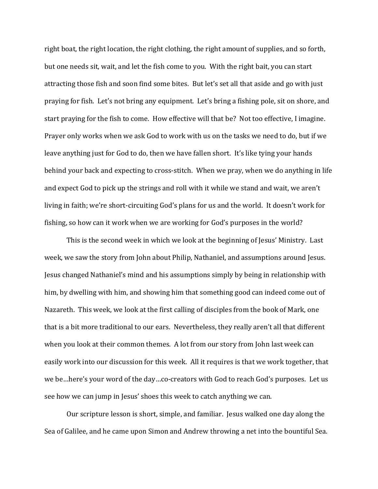right boat, the right location, the right clothing, the right amount of supplies, and so forth, but one needs sit, wait, and let the fish come to you. With the right bait, you can start attracting those fish and soon find some bites. But let's set all that aside and go with just praying for fish. Let's not bring any equipment. Let's bring a fishing pole, sit on shore, and start praying for the fish to come. How effective will that be? Not too effective, I imagine. Prayer only works when we ask God to work with us on the tasks we need to do, but if we leave anything just for God to do, then we have fallen short. It's like tying your hands behind your back and expecting to cross-stitch. When we pray, when we do anything in life and expect God to pick up the strings and roll with it while we stand and wait, we aren't living in faith; we're short-circuiting God's plans for us and the world. It doesn't work for fishing, so how can it work when we are working for God's purposes in the world?

 This is the second week in which we look at the beginning of Jesus' Ministry. Last week, we saw the story from John about Philip, Nathaniel, and assumptions around Jesus. Jesus changed Nathaniel's mind and his assumptions simply by being in relationship with him, by dwelling with him, and showing him that something good can indeed come out of Nazareth. This week, we look at the first calling of disciples from the book of Mark, one that is a bit more traditional to our ears. Nevertheless, they really aren't all that different when you look at their common themes. A lot from our story from John last week can easily work into our discussion for this week. All it requires is that we work together, that we be…here's your word of the day…co-creators with God to reach God's purposes. Let us see how we can jump in Jesus' shoes this week to catch anything we can.

 Our scripture lesson is short, simple, and familiar. Jesus walked one day along the Sea of Galilee, and he came upon Simon and Andrew throwing a net into the bountiful Sea.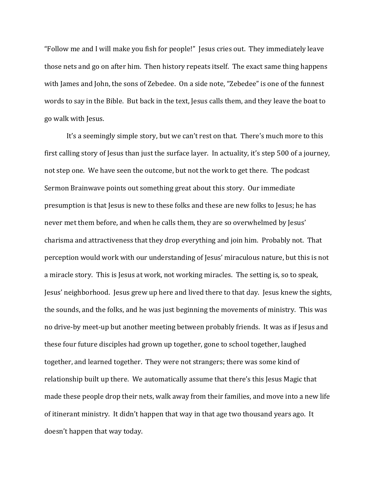"Follow me and I will make you fish for people!" Jesus cries out. They immediately leave those nets and go on after him. Then history repeats itself. The exact same thing happens with James and John, the sons of Zebedee. On a side note, "Zebedee" is one of the funnest words to say in the Bible. But back in the text, Jesus calls them, and they leave the boat to go walk with Jesus.

It's a seemingly simple story, but we can't rest on that. There's much more to this first calling story of Jesus than just the surface layer. In actuality, it's step 500 of a journey, not step one. We have seen the outcome, but not the work to get there. The podcast Sermon Brainwave points out something great about this story. Our immediate presumption is that Jesus is new to these folks and these are new folks to Jesus; he has never met them before, and when he calls them, they are so overwhelmed by Jesus' charisma and attractiveness that they drop everything and join him. Probably not. That perception would work with our understanding of Jesus' miraculous nature, but this is not a miracle story. This is Jesus at work, not working miracles. The setting is, so to speak, Jesus' neighborhood. Jesus grew up here and lived there to that day. Jesus knew the sights, the sounds, and the folks, and he was just beginning the movements of ministry. This was no drive-by meet-up but another meeting between probably friends. It was as if Jesus and these four future disciples had grown up together, gone to school together, laughed together, and learned together. They were not strangers; there was some kind of relationship built up there. We automatically assume that there's this Jesus Magic that made these people drop their nets, walk away from their families, and move into a new life of itinerant ministry. It didn't happen that way in that age two thousand years ago. It doesn't happen that way today.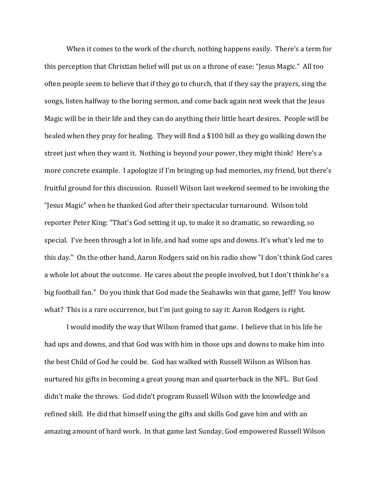When it comes to the work of the church, nothing happens easily. There's a term for this perception that Christian belief will put us on a throne of ease: "Jesus Magic." All too often people seem to believe that if they go to church, that if they say the prayers, sing the songs, listen halfway to the boring sermon, and come back again next week that the Jesus Magic will be in their life and they can do anything their little heart desires. People will be healed when they pray for healing. They will find a \$100 bill as they go walking down the street just when they want it. Nothing is beyond your power, they might think! Here's a more concrete example. I apologize if I'm bringing up bad memories, my friend, but there's fruitful ground for this discussion. Russell Wilson last weekend seemed to be invoking the "Jesus Magic" when he thanked God after their spectacular turnaround. Wilson told reporter Peter King: "That's God setting it up, to make it so dramatic, so rewarding, so special. I've been through a lot in life, and had some ups and downs. It's what's led me to this day." On the other hand, Aaron Rodgers said on his radio show "I don't think God cares a whole lot about the outcome. He cares about the people involved, but I don't think he's a big football fan." Do you think that God made the Seahawks win that game, Jeff? You know what? This is a rare occurrence, but I'm just going to say it: Aaron Rodgers is right.

I would modify the way that Wilson framed that game. I believe that in his life he had ups and downs, and that God was with him in those ups and downs to make him into the best Child of God he could be. God has walked with Russell Wilson as Wilson has nurtured his gifts in becoming a great young man and quarterback in the NFL. But God didn't make the throws. God didn't program Russell Wilson with the knowledge and refined skill. He did that himself using the gifts and skills God gave him and with an amazing amount of hard work. In that game last Sunday, God empowered Russell Wilson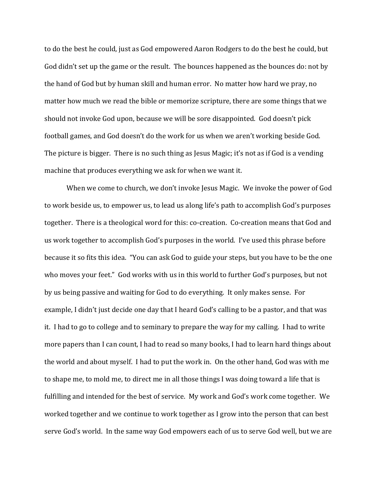to do the best he could, just as God empowered Aaron Rodgers to do the best he could, but God didn't set up the game or the result. The bounces happened as the bounces do: not by the hand of God but by human skill and human error. No matter how hard we pray, no matter how much we read the bible or memorize scripture, there are some things that we should not invoke God upon, because we will be sore disappointed. God doesn't pick football games, and God doesn't do the work for us when we aren't working beside God. The picture is bigger. There is no such thing as Jesus Magic; it's not as if God is a vending machine that produces everything we ask for when we want it.

When we come to church, we don't invoke Jesus Magic. We invoke the power of God to work beside us, to empower us, to lead us along life's path to accomplish God's purposes together. There is a theological word for this: co-creation. Co-creation means that God and us work together to accomplish God's purposes in the world. I've used this phrase before because it so fits this idea. "You can ask God to guide your steps, but you have to be the one who moves your feet." God works with us in this world to further God's purposes, but not by us being passive and waiting for God to do everything. It only makes sense. For example, I didn't just decide one day that I heard God's calling to be a pastor, and that was it. I had to go to college and to seminary to prepare the way for my calling. I had to write more papers than I can count, I had to read so many books, I had to learn hard things about the world and about myself. I had to put the work in. On the other hand, God was with me to shape me, to mold me, to direct me in all those things I was doing toward a life that is fulfilling and intended for the best of service. My work and God's work come together. We worked together and we continue to work together as I grow into the person that can best serve God's world. In the same way God empowers each of us to serve God well, but we are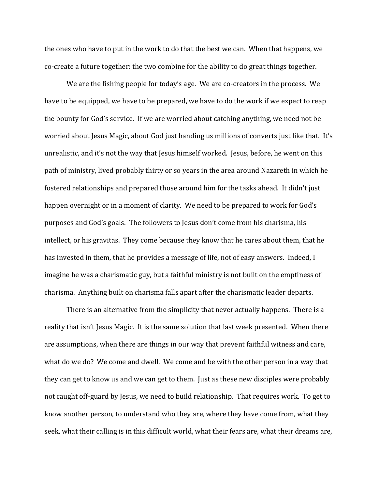the ones who have to put in the work to do that the best we can. When that happens, we co-create a future together: the two combine for the ability to do great things together.

We are the fishing people for today's age. We are co-creators in the process. We have to be equipped, we have to be prepared, we have to do the work if we expect to reap the bounty for God's service. If we are worried about catching anything, we need not be worried about Jesus Magic, about God just handing us millions of converts just like that. It's unrealistic, and it's not the way that Jesus himself worked. Jesus, before, he went on this path of ministry, lived probably thirty or so years in the area around Nazareth in which he fostered relationships and prepared those around him for the tasks ahead. It didn't just happen overnight or in a moment of clarity. We need to be prepared to work for God's purposes and God's goals. The followers to Jesus don't come from his charisma, his intellect, or his gravitas. They come because they know that he cares about them, that he has invested in them, that he provides a message of life, not of easy answers. Indeed, I imagine he was a charismatic guy, but a faithful ministry is not built on the emptiness of charisma. Anything built on charisma falls apart after the charismatic leader departs.

There is an alternative from the simplicity that never actually happens. There is a reality that isn't Jesus Magic. It is the same solution that last week presented. When there are assumptions, when there are things in our way that prevent faithful witness and care, what do we do? We come and dwell. We come and be with the other person in a way that they can get to know us and we can get to them. Just as these new disciples were probably not caught off-guard by Jesus, we need to build relationship. That requires work. To get to know another person, to understand who they are, where they have come from, what they seek, what their calling is in this difficult world, what their fears are, what their dreams are,